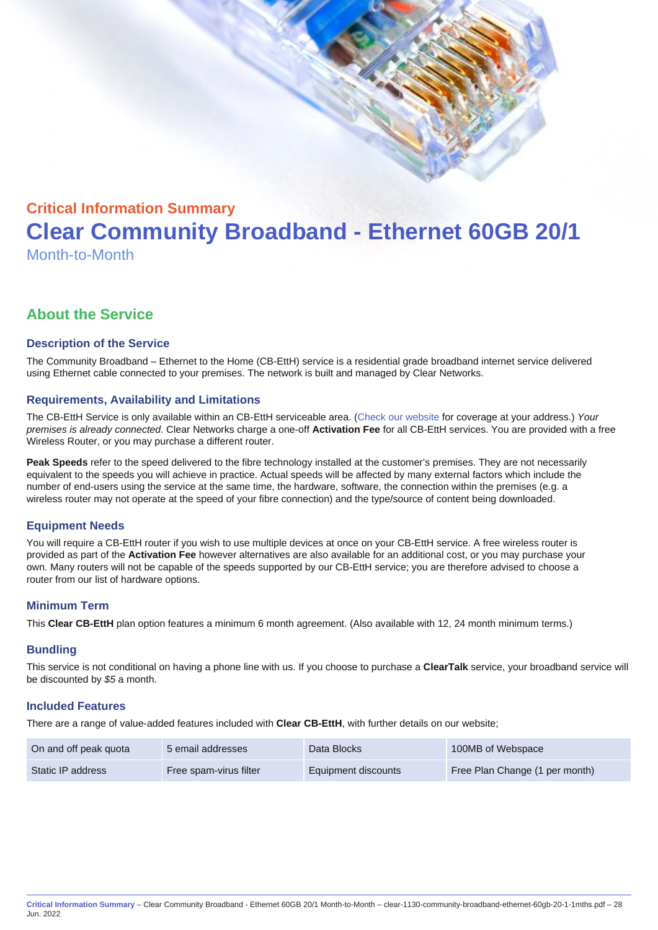# Critical Information Summary Clear Community Broadband - Ethernet 60GB 20/1 Month-to-Month

# About the Service

# Description of the Service

The Community Broadband – Ethernet to the Home (CB-EttH) service is a residential grade broadband internet service delivered using Ethernet cable connected to your premises. The network is built and managed by Clear Networks.

# Requirements, Availability and Limitations

The CB-EttH Service is only available within an CB-EttH serviceable area. ([Check our website](https://www.clear.com.au/residential/community-broadband/) for coverage at your address.) Your premises is already connected. Clear Networks charge a one-off Activation Fee for all CB-EttH services. You are provided with a free Wireless Router, or you may purchase a different router.

Peak Speeds refer to the speed delivered to the fibre technology installed at the customer's premises. They are not necessarily equivalent to the speeds you will achieve in practice. Actual speeds will be affected by many external factors which include the number of end-users using the service at the same time, the hardware, software, the connection within the premises (e.g. a wireless router may not operate at the speed of your fibre connection) and the type/source of content being downloaded.

### Equipment Needs

You will require a CB-EttH router if you wish to use multiple devices at once on your CB-EttH service. A free wireless router is provided as part of the Activation Fee however alternatives are also available for an additional cost, or you may purchase your own. Many routers will not be capable of the speeds supported by our CB-EttH service; you are therefore advised to choose a router from our list of hardware options.

## Minimum Term

This Clear CB-EttH plan option features a minimum 6 month agreement. (Also available with 12, 24 month minimum terms.)

### **Bundling**

This service is not conditional on having a phone line with us. If you choose to purchase a ClearTalk service, your broadband service will be discounted by \$5 a month.

### Included Features

There are a range of value-added features included with Clear CB-EttH , with further details on our website;

| On and off peak quota | 5 email addresses      | Data Blocks         | 100MB of Webspace              |
|-----------------------|------------------------|---------------------|--------------------------------|
| Static IP address     | Free spam-virus filter | Equipment discounts | Free Plan Change (1 per month) |